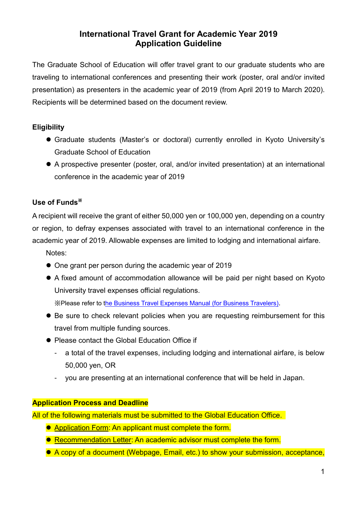# **International Travel Grant for Academic Year 2019 Application Guideline**

The Graduate School of Education will offer travel grant to our graduate students who are traveling to international conferences and presenting their work (poster, oral and/or invited presentation) as presenters in the academic year of 2019 (from April 2019 to March 2020). Recipients will be determined based on the document review.

## **Eligibility**

- Graduate students (Master's or doctoral) currently enrolled in Kyoto University's Graduate School of Education
- A prospective presenter (poster, oral, and/or invited presentation) at an international conference in the academic year of 2019

## **Use of Funds**※

A recipient will receive the grant of either 50,000 yen or 100,000 yen, depending on a country or region, to defray expenses associated with travel to an international conference in the academic year of 2019. Allowable expenses are limited to lodging and international airfare.

- Notes:
- One grant per person during the academic year of 2019
- A fixed amount of accommodation allowance will be paid per night based on Kyoto University travel expenses official regulations.

※Please refer to [the Business Travel Expenses Manual \(for Business Travelers\)](https://www.bunkei.kyoto-u.ac.jp/adm/wp-content/uploads/guide/guide_zenpan/Business_Travel_Expenses_Manualfor_Business_Travelers.pdf).

- Be sure to check relevant policies when you are requesting reimbursement for this travel from multiple funding sources.
- Please contact the Global Education Office if
	- a total of the travel expenses, including lodging and international airfare, is below 50,000 yen, OR
	- you are presenting at an international conference that will be held in Japan.

## **Application Process and Deadline**

All of the following materials must be submitted to the Global Education Office.

- Application Form: An applicant must complete the form.
- **Recommendation Letter: An academic advisor must complete the form.**
- A copy of a document (Webpage, Email, etc.) to show your submission, acceptance,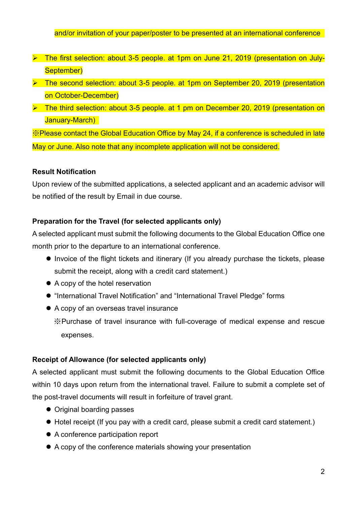#### and/or invitation of your paper/poster to be presented at an international conference

- ▶ The first selection: about 3-5 people. at 1pm on June 21, 2019 (presentation on July-September)
- **EX** The second selection: about 3-5 people. at 1pm on September 20, 2019 (presentation on October-December)
- ▶ The third selection: about 3-5 people. at 1 pm on December 20, 2019 (presentation on January-March)

※Please contact the Global Education Office by May 24, if a conference is scheduled in late May or June. Also note that any incomplete application will not be considered.

### **Result Notification**

Upon review of the submitted applications, a selected applicant and an academic advisor will be notified of the result by Email in due course.

### **Preparation for the Travel (for selected applicants only)**

A selected applicant must submit the following documents to the Global Education Office one month prior to the departure to an international conference.

- $\bullet$  Invoice of the flight tickets and itinerary (If you already purchase the tickets, please submit the receipt, along with a credit card statement.)
- A copy of the hotel reservation
- "International Travel Notification" and "International Travel Pledge" forms
- A copy of an overseas travel insurance
	- ※Purchase of travel insurance with full-coverage of medical expense and rescue expenses.

### **Receipt of Allowance (for selected applicants only)**

A selected applicant must submit the following documents to the Global Education Office within 10 days upon return from the international travel. Failure to submit a complete set of the post-travel documents will result in forfeiture of travel grant.

- Original boarding passes
- Hotel receipt (If you pay with a credit card, please submit a credit card statement.)
- A conference participation report
- A copy of the conference materials showing your presentation